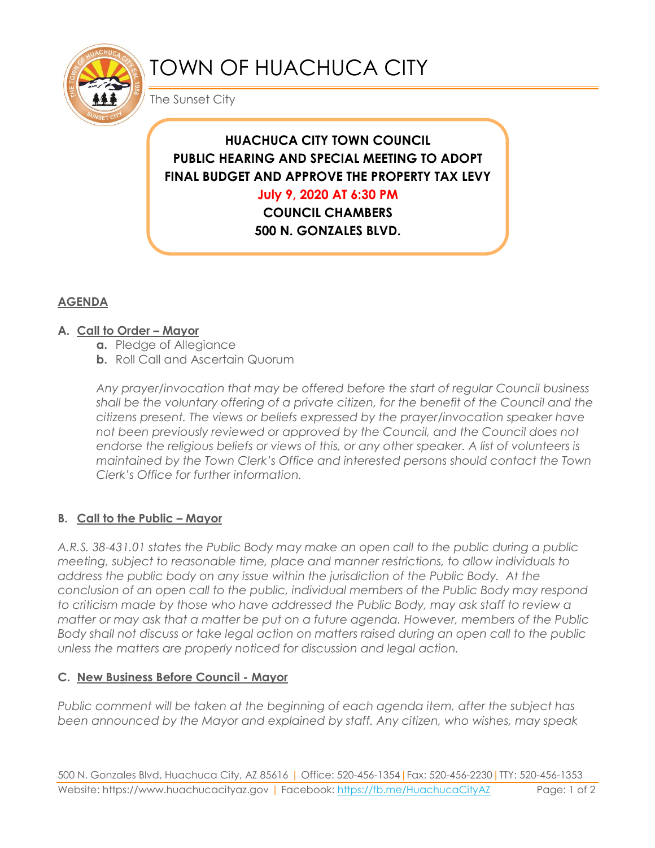

# TOWN OF HUACHUCA CITY

The Sunset City

# **HUACHUCA CITY TOWN COUNCIL PUBLIC HEARING AND SPECIAL MEETING TO ADOPT FINAL BUDGET AND APPROVE THE PROPERTY TAX LEVY**

**July 9, 2020 AT 6:30 PM**

**COUNCIL CHAMBERS 500 N. GONZALES BLVD.** 

**HUACHUCA CITY, AZ 85616**

## **AGENDA**

#### **A. Call to Order – Mayor**

- **a.** Pledge of Allegiance
- **b.** Roll Call and Ascertain Quorum

*Any prayer/invocation that may be offered before the start of regular Council business shall be the voluntary offering of a private citizen, for the benefit of the Council and the citizens present. The views or beliefs expressed by the prayer/invocation speaker have not been previously reviewed or approved by the Council, and the Council does not endorse the religious beliefs or views of this, or any other speaker. A list of volunteers is maintained by the Town Clerk's Office and interested persons should contact the Town Clerk's Office for further information.*

## **B. Call to the Public – Mayor**

*A.R.S. 38-431.01 states the Public Body may make an open call to the public during a public meeting, subject to reasonable time, place and manner restrictions, to allow individuals to address the public body on any issue within the jurisdiction of the Public Body. At the conclusion of an open call to the public, individual members of the Public Body may respond to criticism made by those who have addressed the Public Body, may ask staff to review a matter or may ask that a matter be put on a future agenda. However, members of the Public Body shall not discuss or take legal action on matters raised during an open call to the public unless the matters are properly noticed for discussion and legal action.*

#### **C. New Business Before Council - Mayor**

*Public comment will be taken at the beginning of each agenda item, after the subject has been announced by the Mayor and explained by staff. Any citizen, who wishes, may speak*